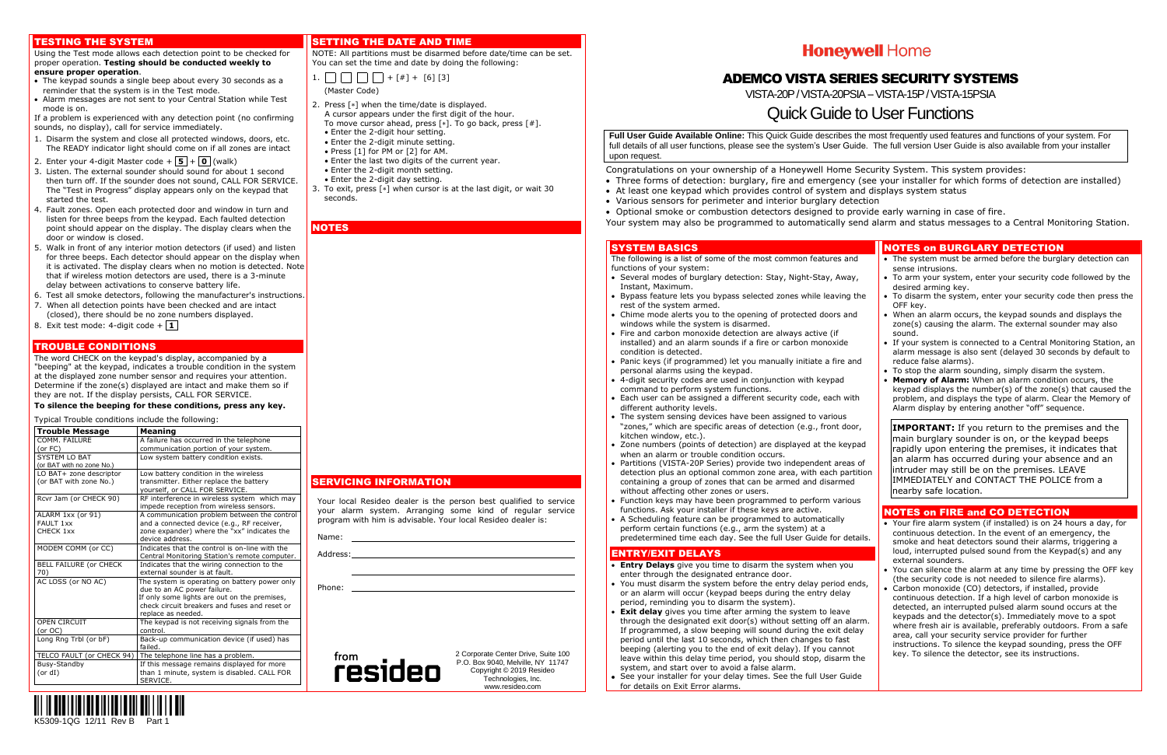

#### TESTING THE SYSTEM

#### Using the Test mode allows each detection point to be checked for proper operation. **Testing should be conducted weekly to ensure proper operation**.

- 1. Disarm the system and close all protected windows, doors, etc. The READY indicator light should come on if all zones are intact
- 2. Enter your 4-digit Master code  $+$   $\mid$  5  $\mid$  +  $\mid$  0  $\mid$  (walk)
- 3. Listen. The external sounder should sound for about 1 second then turn off. If the sounder does not sound, CALL FOR SERVICE. The "Test in Progress" display appears only on the keypad that started the test.
- 4. Fault zones. Open each protected door and window in turn and listen for three beeps from the keypad. Each faulted detection point should appear on the display. The display clears when the door or window is closed.
- 5. Walk in front of any interior motion detectors (if used) and listen for three beeps. Each detector should appear on the display when it is activated. The display clears when no motion is detected. Note that if wireless motion detectors are used, there is a 3-minute delay between activations to conserve battery life.
- 6. Test all smoke detectors, following the manufacturer's instructions.
- 7. When all detection points have been checked and are intact (closed), there should be no zone numbers displayed.
- 8. Exit test mode: 4-digit code  $+$  **1**
- The keypad sounds a single beep about every 30 seconds as a reminder that the system is in the Test mode.
- Alarm messages are not sent to your Central Station while Test mode is on.

If a problem is experienced with any detection point (no confirming sounds, no display), call for service immediately.

#### TROUBLE CONDITIONS

The word CHECK on the keypad's display, accompanied by a "beeping" at the keypad, indicates a trouble condition in the system at the displayed zone number sensor and requires your attention. Determine if the zone(s) displayed are intact and make them so if they are not. If the display persists, CALL FOR SERVICE.

1.  $\Box$  $\Box$  $\Box$  $\Box$  + [#] + [6] [3] (Master Code)

#### **To silence the beeping for these conditions, press any key.**

- 2. Press  $[*]$  when the time/date is displayed. A cursor appears under the first digit of the hour. To move cursor ahead, press  $[*]$ . To go back, press  $[#]$ .
- Enter the 2-digit hour setting.
- Enter the 2-digit minute setting.
- Press [1] for PM or [2] for AM.
- Enter the last two digits of the current year.
- Enter the 2-digit month setting.
- Enter the 2-digit day setting.
- 3. To exit, press  $[*]$  when cursor is at the last digit, or wait 30 seconds.

**NOTES** 

Typical Trouble conditions include the following:

The following is a list of some of the most common features and functions of your system:

- Several modes of burglary detection: Stay, Night-Stay, Away Instant, Maximum.
- Bypass feature lets you bypass selected zones while leaving the rest of the system armed.
- Chime mode alerts you to the opening of protected doors and windows while the system is disarmed.
- Fire and carbon monoxide detection are always active (if installed) and an alarm sounds if a fire or carbon monoxide condition is detected.
- Panic keys (if programmed) let you manually initiate a fire and personal alarms using the keypad.
- 4-digit security codes are used in conjunction with keypad command to perform system functions.
- Each user can be assigned a different security code, each with different authority levels.
- The system sensing devices have been assigned to various "zones," which are specific areas of detection (e.g., front door, kitchen window, etc.).
- $\bullet$  Zone numbers (points of detection) are displayed at the keyped when an alarm or trouble condition occurs.
- Partitions (VISTA-20P Series) provide two independent areas detection plus an optional common zone area, with each parti containing a group of zones that can be armed and disarmed without affecting other zones or users.
- Function keys may have been programmed to perform variou functions. Ask your installer if these keys are active.
- A Scheduling feature can be programmed to automatically perform certain functions (e.g., arm the system) at a predetermined time each day. See the full User Guide for details

| <b>Trouble Message</b>               | Meaning                                                                      |
|--------------------------------------|------------------------------------------------------------------------------|
| COMM. FAILURE                        | A failure has occurred in the telephone                                      |
| (or FC)                              | communication portion of your system.                                        |
| SYSTEM LO BAT                        | Low system battery condition exists.                                         |
| (or BAT with no zone No.)            |                                                                              |
| LO BAT+ zone descriptor              | Low battery condition in the wireless                                        |
| (or BAT with zone No.)               | transmitter. Either replace the battery                                      |
|                                      | yourself, or CALL FOR SERVICE.                                               |
| Rcvr Jam (or CHECK 90)               | RF interference in wireless system which may                                 |
|                                      | impede reception from wireless sensors.                                      |
| ALARM 1xx (or 91)                    | A communication problem between the control                                  |
| FAULT 1xx                            | and a connected device (e.g., RF receiver,                                   |
| CHECK 1xx                            | zone expander) where the "xx" indicates the                                  |
|                                      | device address.                                                              |
| MODEM COMM (or CC)                   | Indicates that the control is on-line with the                               |
|                                      | Central Monitoring Station's remote computer.                                |
| <b>BELL FAILURE (or CHECK</b><br>70) | Indicates that the wiring connection to the<br>external sounder is at fault. |
|                                      |                                                                              |
| AC LOSS (or NO AC)                   | The system is operating on battery power only<br>due to an AC power failure. |
|                                      | If only some lights are out on the premises,                                 |
|                                      | check circuit breakers and fuses and reset or                                |
|                                      | replace as needed.                                                           |
| <b>OPEN CIRCUIT</b>                  | The keypad is not receiving signals from the                                 |
| (or OC)                              | control.                                                                     |
| Long Rng Trbl (or bF)                | Back-up communication device (if used) has                                   |
|                                      | failed.                                                                      |
| TELCO FAULT (or CHECK 94)            | The telephone line has a problem.                                            |
| Busy-Standby                         | If this message remains displayed for more                                   |
| (or dl)                              | than 1 minute, system is disabled. CALL FOR                                  |
|                                      | SERVICE.                                                                     |

#### SETTING THE DATE AND TIME

NOTE: All partitions must be disarmed before date/time can be set. You can set the time and date by doing the following:

## SERVICING INFORMATION

Your local Resideo dealer is the person best qualified to service your alarm system. Arranging some kind of regular service program with him is advisable. Your local Resideo dealer is:

Name:

Address:

Phone:



2 Corporate Center Drive, Suite 100 P.O. Box 9040, Melville, NY 11747 Copyright © 2019 Resideo Technologies, Inc. www.resideo.com

## **Honeywell Home**

## ADEMCO VISTA SERIES SECURITY SYSTEMS

VISTA-20P / VISTA-20PSIA -- VISTA-15P / VISTA-15PSIA

## Quick Guide to User Functions

**Full User Guide Available Online:** This Quick Guide describes the most frequently used features and functions of your system. For full details of all user functions, please see the system's User Guide. The full version User Guide is also available from your installer upon request.

- Congratulations on your ownership of a Honeywell Home Security System. This system provides:
- Three forms of detection: burglary, fire and emergency (see your installer for which forms of detection are installed) At least one keypad which provides control of system and displays system status
- 
- Various sensors for perimeter and interior burglary detection
- Optional smoke or combustion detectors designed to provide early warning in case of fire.
- 

Your system may also be programmed to automatically send alarm and status messages to a Central Monitoring Station.

### SYSTEM BASICS

#### ENTRY/EXIT DELAYS

- **Entry Delays** give you time to disarm the system when you enter through the designated entrance door.
- You must disarm the system before the entry delay period en or an alarm will occur (keypad beeps during the entry delay period, reminding you to disarm the system).
- **Exit delay** gives you time after arming the system to leave through the designated exit door(s) without setting off an alare If programmed,  $\overline{a}$  slow beeping will sound during the exit delay period until the last 10 seconds, which then changes to fast beeping (alerting you to the end of exit delay). If you cannot leave within this delay time period, you should stop, disarm the system, and start over to avoid a false alarm.
- See your installer for your delay times. See the full User Guid for details on Exit Error alarms.

|             | <b>NOTES on BURGLARY DETECTION</b>                                                                                                                                                                                                                                                                             |  |  |  |  |
|-------------|----------------------------------------------------------------------------------------------------------------------------------------------------------------------------------------------------------------------------------------------------------------------------------------------------------------|--|--|--|--|
| Į.          | • The system must be armed before the burglary detection can                                                                                                                                                                                                                                                   |  |  |  |  |
|             | sense intrusions.<br>• To arm your system, enter your security code followed by the<br>desired arming key.                                                                                                                                                                                                     |  |  |  |  |
| :he         | • To disarm the system, enter your security code then press the<br>OFF key.                                                                                                                                                                                                                                    |  |  |  |  |
| l           | • When an alarm occurs, the keypad sounds and displays the<br>zone(s) causing the alarm. The external sounder may also<br>sound.                                                                                                                                                                               |  |  |  |  |
| ıd          | • If your system is connected to a Central Monitoring Station, an<br>alarm message is also sent (delayed 30 seconds by default to<br>reduce false alarms).                                                                                                                                                     |  |  |  |  |
| h           | • To stop the alarm sounding, simply disarm the system.<br>Memory of Alarm: When an alarm condition occurs, the<br>keypad displays the number(s) of the zone(s) that caused the<br>problem, and displays the type of alarm. Clear the Memory of<br>Alarm display by entering another "off" sequence.           |  |  |  |  |
| r,          | <b>IMPORTANT:</b> If you return to the premises and the                                                                                                                                                                                                                                                        |  |  |  |  |
| ad          | main burglary sounder is on, or the keypad beeps<br>rapidly upon entering the premises, it indicates that                                                                                                                                                                                                      |  |  |  |  |
| 0f<br>ition | an alarm has occurred during your absence and an<br>intruder may still be on the premises. LEAVE<br>IMMEDIATELY and CONTACT THE POLICE from a                                                                                                                                                                  |  |  |  |  |
| ıs          | nearby safe location.                                                                                                                                                                                                                                                                                          |  |  |  |  |
|             | <b>NOTES on FIRE and CO DETECTION</b>                                                                                                                                                                                                                                                                          |  |  |  |  |
| ails.       | • Your fire alarm system (if installed) is on 24 hours a day, for<br>continuous detection. In the event of an emergency, the<br>smoke and heat detectors sound their alarms, triggering a<br>loud, interrupted pulsed sound from the Keypad(s) and any<br>external sounders.                                   |  |  |  |  |
| ıds,        | • You can silence the alarm at any time by pressing the OFF key<br>(the security code is not needed to silence fire alarms).<br>• Carbon monoxide (CO) detectors, if installed, provide<br>continuous detection. If a high level of carbon monoxide is                                                         |  |  |  |  |
| ırm.<br>ay  | detected, an interrupted pulsed alarm sound occurs at the<br>keypads and the detector(s). Immediately move to a spot<br>where fresh air is available, preferably outdoors. From a safe<br>area, call your security service provider for further<br>instructions. To silence the keypad sounding, press the OFF |  |  |  |  |
| :he         | key. To silence the detector, see its instructions.                                                                                                                                                                                                                                                            |  |  |  |  |
| le          |                                                                                                                                                                                                                                                                                                                |  |  |  |  |
|             |                                                                                                                                                                                                                                                                                                                |  |  |  |  |